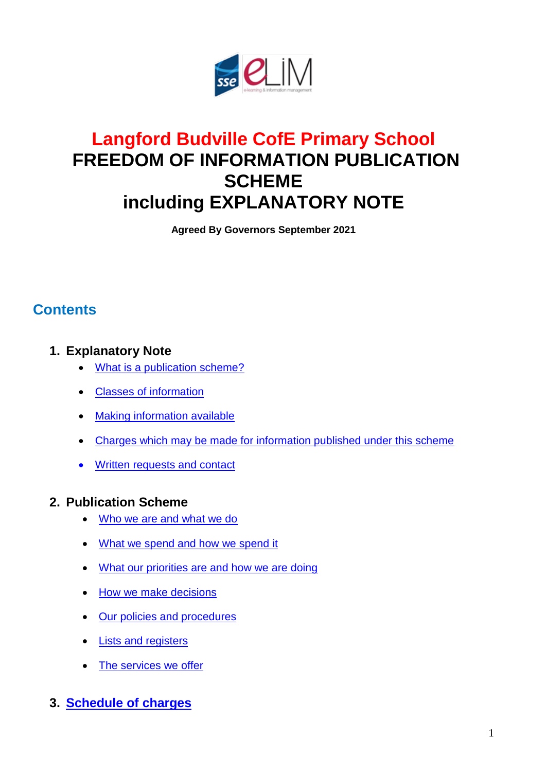

# **Langford Budville CofE Primary School FREEDOM OF INFORMATION PUBLICATION SCHEME including EXPLANATORY NOTE**

**Agreed By Governors September 2021**

## **Contents**

#### **1. Explanatory Note**

- What [is a publication scheme?](#page-1-0)
- Classes [of information](#page-1-1)
- Making [information available](#page-1-2)
- [Charges which may be made for information published under this scheme](#page-2-0)
- **[Written requests](#page-2-1) and contact**

#### **2. Publication Scheme**

- [Who we are and what we do](#page-3-0)
- [What we spend and how we spend it](#page-3-1)
- [What our priorities are and how we are doing](#page-4-0)
- [How we make decisions](#page-5-0)
- [Our policies and procedures](#page-6-0)
- [Lists and registers](#page-7-0)
- [The services we offer](#page-8-0)

#### **3. [Schedule of charges](#page-9-0)**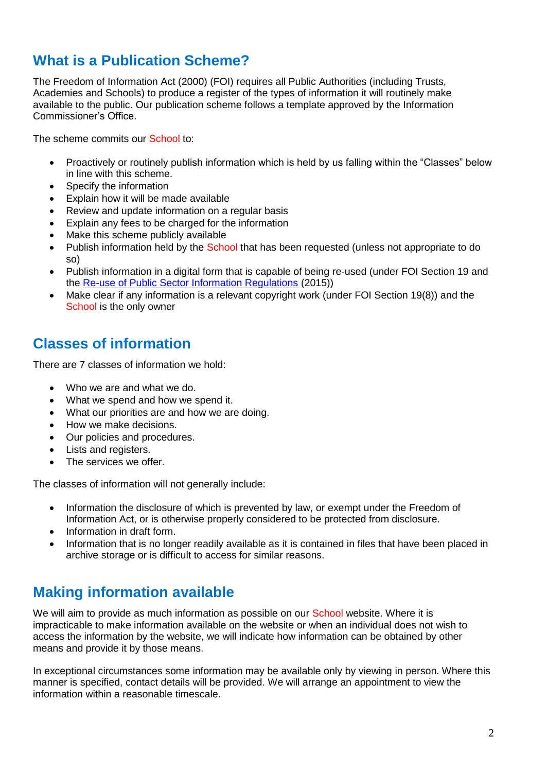## <span id="page-1-0"></span>**What is a Publication Scheme?**

The Freedom of Information Act (2000) (FOI) requires all Public Authorities (including Trusts, Academies and Schools) to produce a register of the types of information it will routinely make available to the public. Our publication scheme follows a template approved by the Information Commissioner's Office.

The scheme commits our School to:

- Proactively or routinely publish information which is held by us falling within the "Classes" below in line with this scheme.
- Specify the information
- Explain how it will be made available
- Review and update information on a regular basis
- Explain any fees to be charged for the information
- Make this scheme publicly available
- Publish information held by the School that has been requested (unless not appropriate to do so)
- Publish information in a digital form that is capable of being re-used (under FOI Section 19 and the [Re-use of Public Sector Information Regulations](http://www.legislation.gov.uk/uksi/2015/1415/contents/made) (2015))
- Make clear if any information is a relevant copyright work (under FOI Section 19(8)) and the School is the only owner

### <span id="page-1-1"></span>**Classes of information**

There are 7 classes of information we hold:

- Who we are and what we do.
- What we spend and how we spend it.
- What our priorities are and how we are doing.
- How we make decisions.
- Our policies and procedures.
- Lists and registers.
- The services we offer.

The classes of information will not generally include:

- Information the disclosure of which is prevented by law, or exempt under the Freedom of Information Act, or is otherwise properly considered to be protected from disclosure.
- Information in draft form.
- Information that is no longer readily available as it is contained in files that have been placed in archive storage or is difficult to access for similar reasons.

### <span id="page-1-2"></span>**Making information available**

We will aim to provide as much information as possible on our School website. Where it is impracticable to make information available on the website or when an individual does not wish to access the information by the website, we will indicate how information can be obtained by other means and provide it by those means.

In exceptional circumstances some information may be available only by viewing in person. Where this manner is specified, contact details will be provided. We will arrange an appointment to view the information within a reasonable timescale.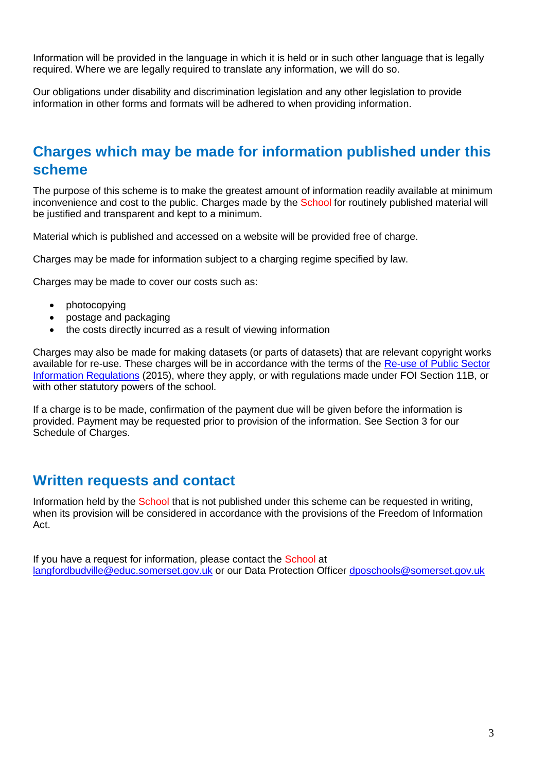Information will be provided in the language in which it is held or in such other language that is legally required. Where we are legally required to translate any information, we will do so.

Our obligations under disability and discrimination legislation and any other legislation to provide information in other forms and formats will be adhered to when providing information.

### <span id="page-2-0"></span>**Charges which may be made for information published under this scheme**

The purpose of this scheme is to make the greatest amount of information readily available at minimum inconvenience and cost to the public. Charges made by the School for routinely published material will be justified and transparent and kept to a minimum.

Material which is published and accessed on a website will be provided free of charge.

Charges may be made for information subject to a charging regime specified by law.

Charges may be made to cover our costs such as:

- photocopying
- postage and packaging
- the costs directly incurred as a result of viewing information

Charges may also be made for making datasets (or parts of datasets) that are relevant copyright works available for re-use. These charges will be in accordance with the terms of the [Re-use of Public Sector](http://www.legislation.gov.uk/uksi/2015/1415/contents/made)  [Information Regulations](http://www.legislation.gov.uk/uksi/2015/1415/contents/made) (2015), where they apply, or with regulations made under FOI Section 11B, or with other statutory powers of the school.

If a charge is to be made, confirmation of the payment due will be given before the information is provided. Payment may be requested prior to provision of the information. See Section 3 for our Schedule of Charges.

#### <span id="page-2-1"></span>**Written requests and contact**

Information held by the School that is not published under this scheme can be requested in writing, when its provision will be considered in accordance with the provisions of the Freedom of Information Act.

If you have a request for information, please contact the School at [langfordbudville@educ.somerset.gov.uk](mailto:langfordbudville@educ.somerset.gov.uk) or our Data Protection Officer [dposchools@somerset.gov.uk](mailto:dposchools@somerset.gov.uk)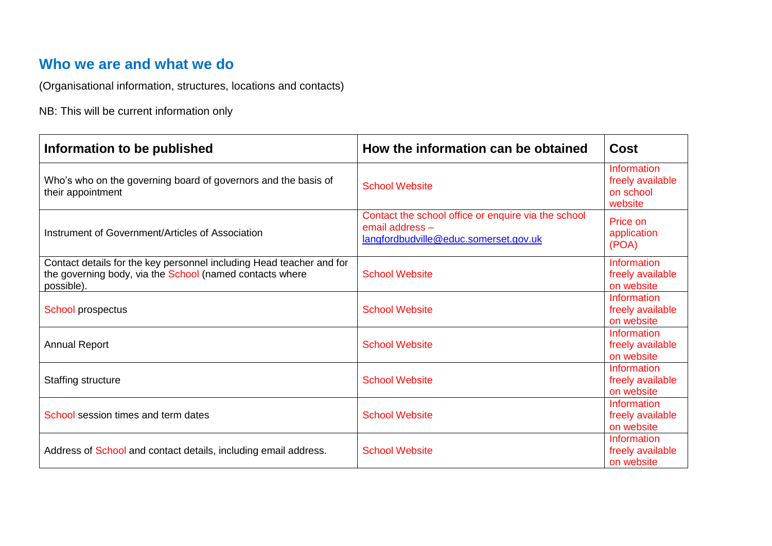## **Who we are and what we do**

(Organisational information, structures, locations and contacts)

NB: This will be current information only

<span id="page-3-1"></span><span id="page-3-0"></span>

| Information to be published                                                                                                                    | How the information can be obtained                                                                             | <b>Cost</b>                                                    |
|------------------------------------------------------------------------------------------------------------------------------------------------|-----------------------------------------------------------------------------------------------------------------|----------------------------------------------------------------|
| Who's who on the governing board of governors and the basis of<br>their appointment                                                            | <b>School Website</b>                                                                                           | <b>Information</b><br>freely available<br>on school<br>website |
| Instrument of Government/Articles of Association                                                                                               | Contact the school office or enquire via the school<br>email address -<br>langfordbudville@educ.somerset.gov.uk | Price on<br>application<br>(POA)                               |
| Contact details for the key personnel including Head teacher and for<br>the governing body, via the School (named contacts where<br>possible). | <b>School Website</b>                                                                                           | <b>Information</b><br>freely available<br>on website           |
| School prospectus                                                                                                                              | <b>School Website</b>                                                                                           | <b>Information</b><br>freely available<br>on website           |
| <b>Annual Report</b>                                                                                                                           | <b>School Website</b>                                                                                           | <b>Information</b><br>freely available<br>on website           |
| <b>Staffing structure</b>                                                                                                                      | <b>School Website</b>                                                                                           | Information<br>freely available<br>on website                  |
| School session times and term dates                                                                                                            | <b>School Website</b>                                                                                           | <b>Information</b><br>freely available<br>on website           |
| Address of School and contact details, including email address.                                                                                | <b>School Website</b>                                                                                           | <b>Information</b><br>freely available<br>on website           |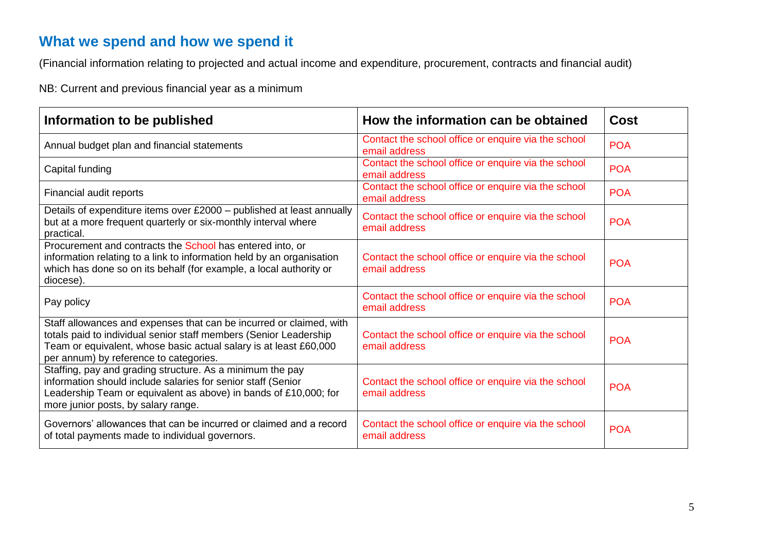## **What we spend and how we spend it**

(Financial information relating to projected and actual income and expenditure, procurement, contracts and financial audit)

NB: Current and previous financial year as a minimum

<span id="page-4-0"></span>

| Information to be published                                                                                                                                                                                                                             | How the information can be obtained                                  | Cost       |
|---------------------------------------------------------------------------------------------------------------------------------------------------------------------------------------------------------------------------------------------------------|----------------------------------------------------------------------|------------|
| Annual budget plan and financial statements                                                                                                                                                                                                             | Contact the school office or enquire via the school<br>email address | <b>POA</b> |
| Capital funding                                                                                                                                                                                                                                         | Contact the school office or enquire via the school<br>email address | <b>POA</b> |
| Financial audit reports                                                                                                                                                                                                                                 | Contact the school office or enquire via the school<br>email address | <b>POA</b> |
| Details of expenditure items over £2000 - published at least annually<br>but at a more frequent quarterly or six-monthly interval where<br>practical.                                                                                                   | Contact the school office or enquire via the school<br>email address | <b>POA</b> |
| Procurement and contracts the School has entered into, or<br>information relating to a link to information held by an organisation<br>which has done so on its behalf (for example, a local authority or<br>diocese).                                   | Contact the school office or enquire via the school<br>email address | <b>POA</b> |
| Pay policy                                                                                                                                                                                                                                              | Contact the school office or enquire via the school<br>email address | <b>POA</b> |
| Staff allowances and expenses that can be incurred or claimed, with<br>totals paid to individual senior staff members (Senior Leadership<br>Team or equivalent, whose basic actual salary is at least £60,000<br>per annum) by reference to categories. | Contact the school office or enquire via the school<br>email address | <b>POA</b> |
| Staffing, pay and grading structure. As a minimum the pay<br>information should include salaries for senior staff (Senior<br>Leadership Team or equivalent as above) in bands of £10,000; for<br>more junior posts, by salary range.                    | Contact the school office or enquire via the school<br>email address | <b>POA</b> |
| Governors' allowances that can be incurred or claimed and a record<br>of total payments made to individual governors.                                                                                                                                   | Contact the school office or enquire via the school<br>email address | <b>POA</b> |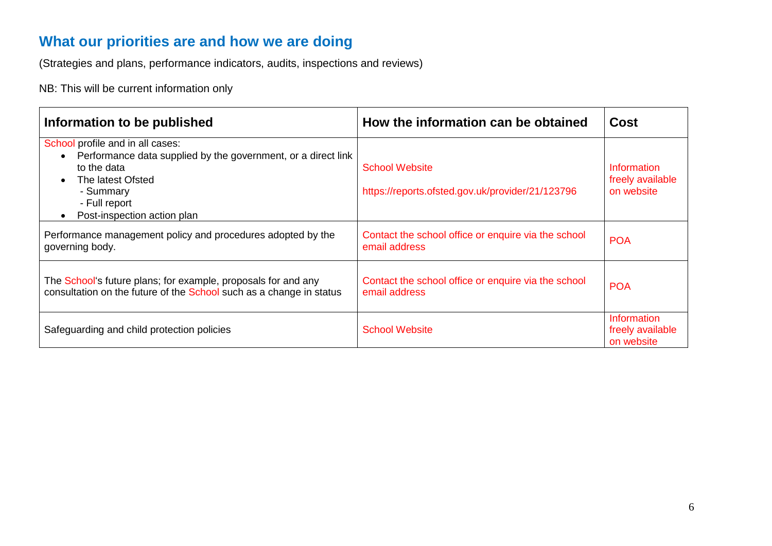## **What our priorities are and how we are doing**

(Strategies and plans, performance indicators, audits, inspections and reviews)

NB: This will be current information only

<span id="page-5-0"></span>

| Information to be published                                                                                                                                                                                                               | How the information can be obtained                                       | <b>Cost</b>                                          |
|-------------------------------------------------------------------------------------------------------------------------------------------------------------------------------------------------------------------------------------------|---------------------------------------------------------------------------|------------------------------------------------------|
| School profile and in all cases:<br>Performance data supplied by the government, or a direct link<br>$\bullet$<br>to the data<br>The latest Ofsted<br>$\bullet$<br>- Summary<br>- Full report<br>Post-inspection action plan<br>$\bullet$ | <b>School Website</b><br>https://reports.ofsted.gov.uk/provider/21/123796 | Information<br>freely available<br>on website        |
| Performance management policy and procedures adopted by the<br>governing body.                                                                                                                                                            | Contact the school office or enquire via the school<br>email address      | <b>POA</b>                                           |
| The School's future plans; for example, proposals for and any<br>consultation on the future of the School such as a change in status                                                                                                      | Contact the school office or enquire via the school<br>email address      | <b>POA</b>                                           |
| Safeguarding and child protection policies                                                                                                                                                                                                | <b>School Website</b>                                                     | <b>Information</b><br>freely available<br>on website |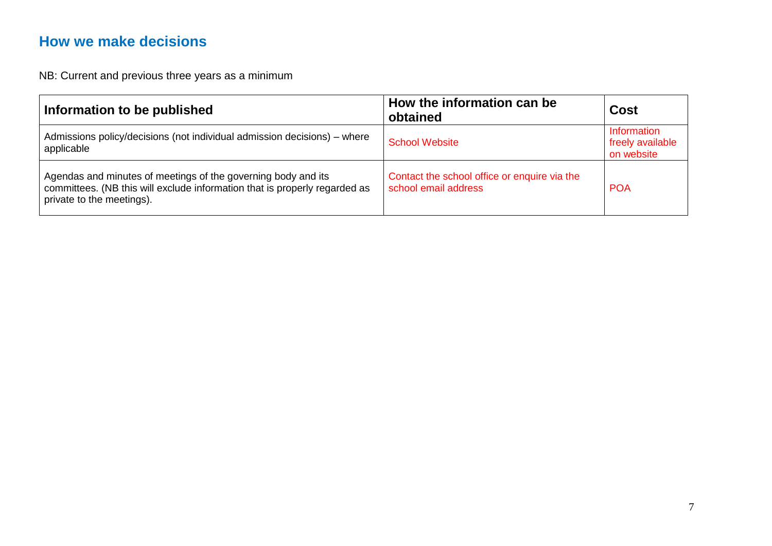## **How we make decisions**

NB: Current and previous three years as a minimum

<span id="page-6-0"></span>

| Information to be published                                                                                                                                              | How the information can be<br>obtained                               | <b>Cost</b>                                   |
|--------------------------------------------------------------------------------------------------------------------------------------------------------------------------|----------------------------------------------------------------------|-----------------------------------------------|
| Admissions policy/decisions (not individual admission decisions) - where<br>applicable                                                                                   | <b>School Website</b>                                                | Information<br>freely available<br>on website |
| Agendas and minutes of meetings of the governing body and its<br>committees. (NB this will exclude information that is properly regarded as<br>private to the meetings). | Contact the school office or enquire via the<br>school email address | <b>POA</b>                                    |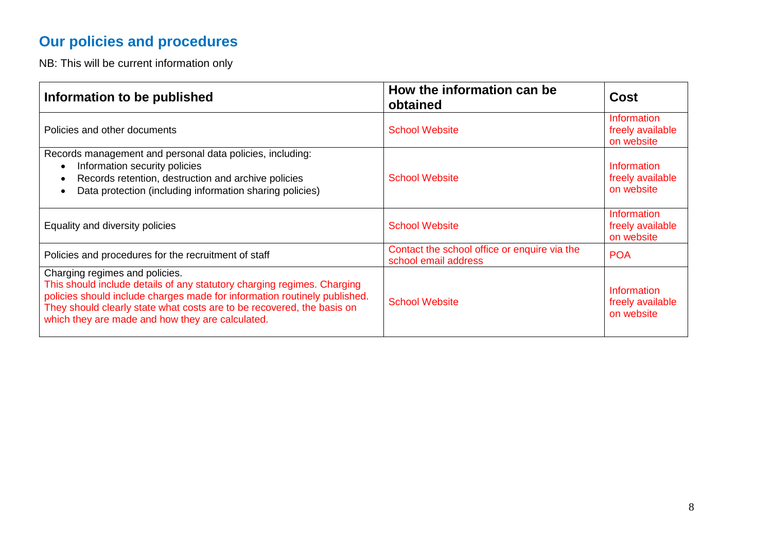# **Our policies and procedures**

NB: This will be current information only

<span id="page-7-0"></span>

| Information to be published                                                                                                                                                                                                                                                                                          | How the information can be<br>obtained                               | Cost                                                 |
|----------------------------------------------------------------------------------------------------------------------------------------------------------------------------------------------------------------------------------------------------------------------------------------------------------------------|----------------------------------------------------------------------|------------------------------------------------------|
| Policies and other documents                                                                                                                                                                                                                                                                                         | <b>School Website</b>                                                | <b>Information</b><br>freely available<br>on website |
| Records management and personal data policies, including:<br>Information security policies<br>Records retention, destruction and archive policies<br>Data protection (including information sharing policies)                                                                                                        | <b>School Website</b>                                                | Information<br>freely available<br>on website        |
| Equality and diversity policies                                                                                                                                                                                                                                                                                      | <b>School Website</b>                                                | <b>Information</b><br>freely available<br>on website |
| Policies and procedures for the recruitment of staff                                                                                                                                                                                                                                                                 | Contact the school office or enquire via the<br>school email address | <b>POA</b>                                           |
| Charging regimes and policies.<br>This should include details of any statutory charging regimes. Charging<br>policies should include charges made for information routinely published.<br>They should clearly state what costs are to be recovered, the basis on<br>which they are made and how they are calculated. | <b>School Website</b>                                                | <b>Information</b><br>freely available<br>on website |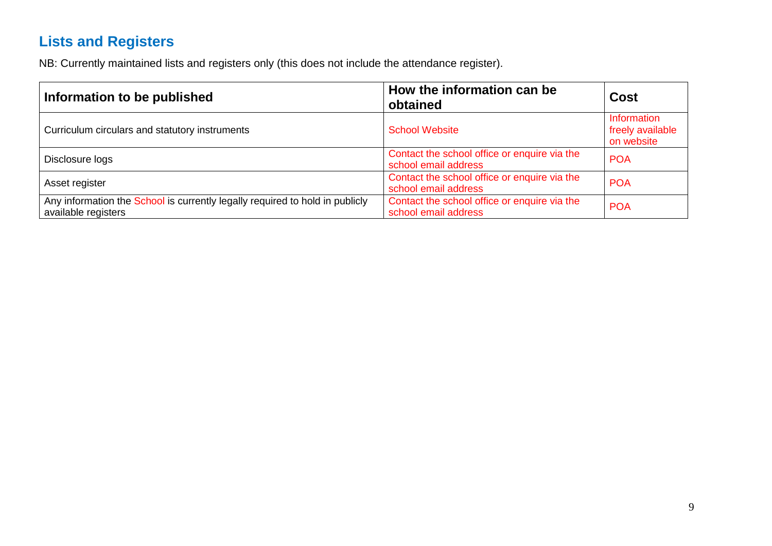# **Lists and Registers**

NB: Currently maintained lists and registers only (this does not include the attendance register).

<span id="page-8-0"></span>

| Information to be published                                                                         | How the information can be<br>obtained                               | <b>Cost</b>                                   |
|-----------------------------------------------------------------------------------------------------|----------------------------------------------------------------------|-----------------------------------------------|
| Curriculum circulars and statutory instruments                                                      | <b>School Website</b>                                                | Information<br>freely available<br>on website |
| Disclosure logs                                                                                     | Contact the school office or enquire via the<br>school email address | <b>POA</b>                                    |
| Asset register                                                                                      | Contact the school office or enquire via the<br>school email address | <b>POA</b>                                    |
| Any information the School is currently legally required to hold in publicly<br>available registers | Contact the school office or enquire via the<br>school email address | <b>POA</b>                                    |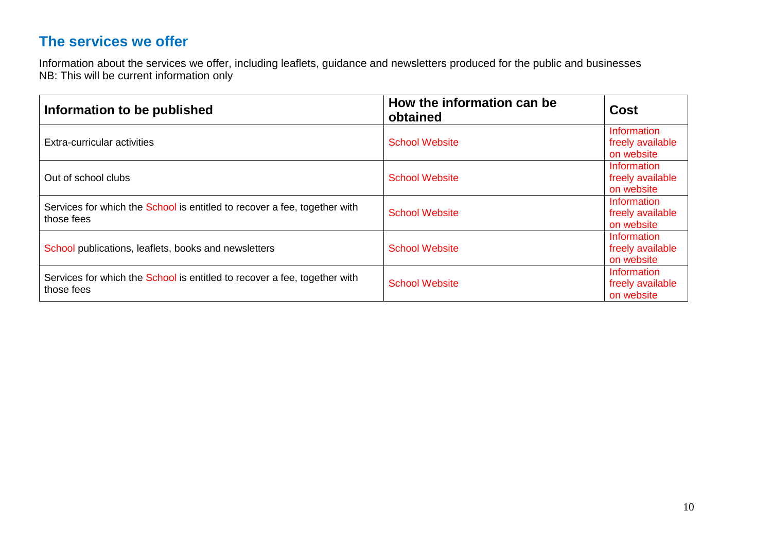## **The services we offer**

Information about the services we offer, including leaflets, guidance and newsletters produced for the public and businesses NB: This will be current information only

<span id="page-9-0"></span>

| Information to be published                                                             | How the information can be<br>obtained | <b>Cost</b>                                          |
|-----------------------------------------------------------------------------------------|----------------------------------------|------------------------------------------------------|
| Extra-curricular activities                                                             | <b>School Website</b>                  | Information<br>freely available<br>on website        |
| Out of school clubs                                                                     | <b>School Website</b>                  | Information<br>freely available<br>on website        |
| Services for which the School is entitled to recover a fee, together with<br>those fees | <b>School Website</b>                  | Information<br>freely available<br>on website        |
| School publications, leaflets, books and newsletters                                    | <b>School Website</b>                  | <b>Information</b><br>freely available<br>on website |
| Services for which the School is entitled to recover a fee, together with<br>those fees | <b>School Website</b>                  | <b>Information</b><br>freely available<br>on website |